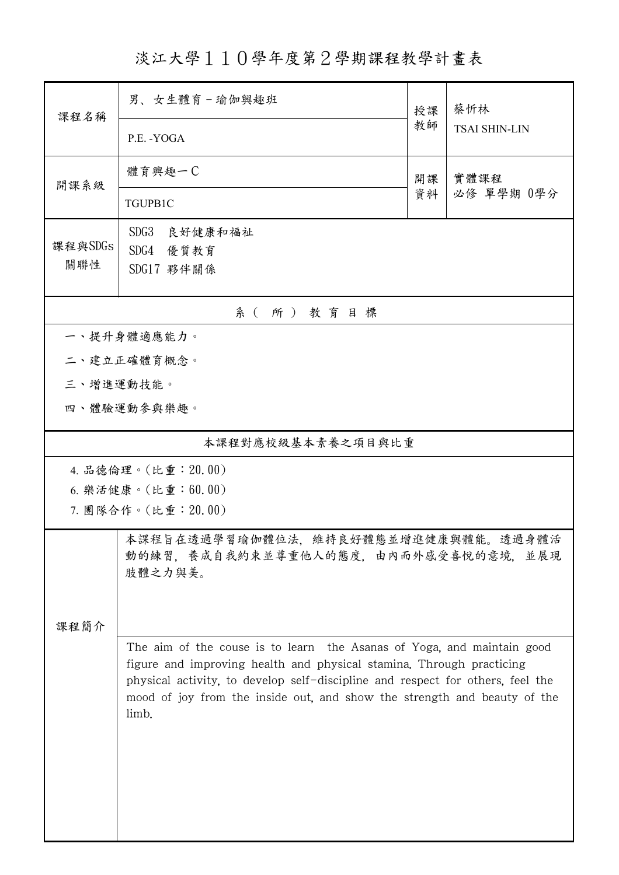淡江大學110學年度第2學期課程教學計畫表

|                | 男、女生體育-瑜伽興趣班                                                                                                                                                                                                                                                                                                          | 授課 | 蔡忻林<br><b>TSAI SHIN-LIN</b> |  |  |  |  |  |
|----------------|-----------------------------------------------------------------------------------------------------------------------------------------------------------------------------------------------------------------------------------------------------------------------------------------------------------------------|----|-----------------------------|--|--|--|--|--|
| 課程名稱           | P.E. - YOGA                                                                                                                                                                                                                                                                                                           | 教師 |                             |  |  |  |  |  |
| 開課系級           | 體育興趣一C<br>實體課程<br>開課                                                                                                                                                                                                                                                                                                  |    |                             |  |  |  |  |  |
|                | TGUPB1C                                                                                                                                                                                                                                                                                                               | 資料 | 必修 單學期 0學分                  |  |  |  |  |  |
| 課程與SDGs<br>關聯性 | SDG3<br>良好健康和福祉<br>SDG4 優質教育<br>SDG17 夥伴關係                                                                                                                                                                                                                                                                            |    |                             |  |  |  |  |  |
| 系(所)教育目標       |                                                                                                                                                                                                                                                                                                                       |    |                             |  |  |  |  |  |
|                | 一、提升身體適應能力。                                                                                                                                                                                                                                                                                                           |    |                             |  |  |  |  |  |
|                | 二、建立正確體育概念。                                                                                                                                                                                                                                                                                                           |    |                             |  |  |  |  |  |
| 三、增進運動技能。      |                                                                                                                                                                                                                                                                                                                       |    |                             |  |  |  |  |  |
|                | 四、體驗運動參與樂趣。                                                                                                                                                                                                                                                                                                           |    |                             |  |  |  |  |  |
|                | 本課程對應校級基本素養之項目與比重                                                                                                                                                                                                                                                                                                     |    |                             |  |  |  |  |  |
|                | 4. 品德倫理。(比重:20.00)                                                                                                                                                                                                                                                                                                    |    |                             |  |  |  |  |  |
|                | 6. 樂活健康。(比重:60.00)<br>7. 團隊合作。(比重: 20.00)                                                                                                                                                                                                                                                                             |    |                             |  |  |  |  |  |
|                |                                                                                                                                                                                                                                                                                                                       |    |                             |  |  |  |  |  |
|                | 本課程旨在透過學習瑜伽體位法,維持良好體態並增進健康與體能。透過身體活<br>動的練習, 養成自我約束並尊重他人的態度, 由内而外感受喜悅的意境, 並展現<br>肢體之力與美。                                                                                                                                                                                                                              |    |                             |  |  |  |  |  |
| 課程簡介           |                                                                                                                                                                                                                                                                                                                       |    |                             |  |  |  |  |  |
|                | The aim of the couse is to learn the Asanas of Yoga, and maintain good<br>figure and improving health and physical stamina. Through practicing<br>physical activity, to develop self-discipline and respect for others, feel the<br>mood of joy from the inside out, and show the strength and beauty of the<br>limb. |    |                             |  |  |  |  |  |
|                |                                                                                                                                                                                                                                                                                                                       |    |                             |  |  |  |  |  |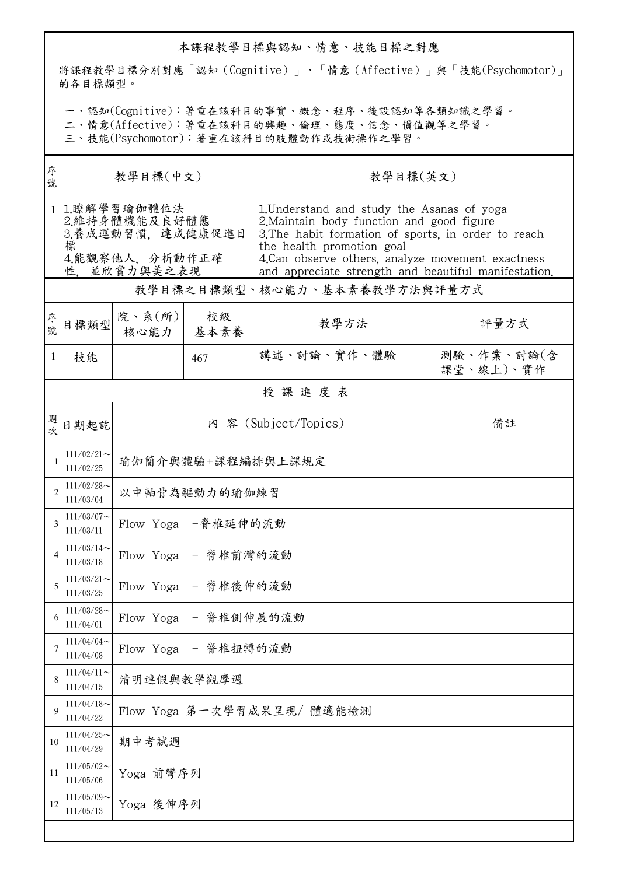## 本課程教學目標與認知、情意、技能目標之對應

將課程教學目標分別對應「認知(Cognitive)」、「情意(Affective)」與「技能(Psychomotor)」 的各目標類型。

一、認知(Cognitive):著重在該科目的事實、概念、程序、後設認知等各類知識之學習。

二、情意(Affective):著重在該科目的興趣、倫理、態度、信念、價值觀等之學習。

三、技能(Psychomotor):著重在該科目的肢體動作或技術操作之學習。

| 序<br>號         | 教學目標(中文)                                                                                |                            |            | 教學目標(英文)                                                                                                                                                                                                                                                                                 |                         |  |  |  |  |
|----------------|-----------------------------------------------------------------------------------------|----------------------------|------------|------------------------------------------------------------------------------------------------------------------------------------------------------------------------------------------------------------------------------------------------------------------------------------------|-------------------------|--|--|--|--|
| $\mathbf{1}$   | 1.瞭解學習瑜伽體位法<br>2.維持身體機能及良好體態<br>3.養成運動習慣,達成健康促進目<br>標<br>4.能觀察他人, 分析動作正確<br>性,並欣賞力與美之表現 |                            |            | 1. Understand and study the Asanas of yoga<br>2. Maintain body function and good figure<br>3. The habit formation of sports, in order to reach<br>the health promotion goal<br>4. Can observe others, analyze movement exactness<br>and appreciate strength and beautiful manifestation. |                         |  |  |  |  |
|                | 教學目標之目標類型、核心能力、基本素養教學方法與評量方式                                                            |                            |            |                                                                                                                                                                                                                                                                                          |                         |  |  |  |  |
| 序<br>號.        | 目標類型                                                                                    | 院、系 $(\text{m})$<br>核心能力   | 校級<br>基本素養 | 教學方法                                                                                                                                                                                                                                                                                     | 評量方式                    |  |  |  |  |
| 1              | 技能                                                                                      |                            | 467        | 講述、討論、實作、體驗                                                                                                                                                                                                                                                                              | 測驗、作業、討論(含<br>課堂、線上)、實作 |  |  |  |  |
|                | 授課進度表                                                                                   |                            |            |                                                                                                                                                                                                                                                                                          |                         |  |  |  |  |
| 週<br>坎         | 日期起訖                                                                                    | 內 容 (Subject/Topics)       |            |                                                                                                                                                                                                                                                                                          | 備註                      |  |  |  |  |
|                | $111/02/21$ ~<br>111/02/25                                                              | 瑜伽簡介與體驗+課程編排與上課規定          |            |                                                                                                                                                                                                                                                                                          |                         |  |  |  |  |
| $\overline{2}$ | $111/02/28$ ~<br>111/03/04                                                              | 以中軸骨為驅動力的瑜伽練習              |            |                                                                                                                                                                                                                                                                                          |                         |  |  |  |  |
| 3              | $111/03/07$ ~<br>111/03/11                                                              | Flow Yoga -脊椎延伸的流動         |            |                                                                                                                                                                                                                                                                                          |                         |  |  |  |  |
|                | $111/03/14$ ~<br>111/03/18                                                              | Flow Yoga - 脊椎前灣的流動        |            |                                                                                                                                                                                                                                                                                          |                         |  |  |  |  |
| 5              | $111/03/21$ ~<br>111/03/25                                                              | Flow Yoga - 脊椎後伸的流動        |            |                                                                                                                                                                                                                                                                                          |                         |  |  |  |  |
| 6              | $111/03/28$ ~<br>111/04/01                                                              | Flow Yoga - 脊椎側伸展的流動       |            |                                                                                                                                                                                                                                                                                          |                         |  |  |  |  |
| 7              | $111/04/04$ ~<br>111/04/08                                                              | Flow Yoga - 脊椎扭轉的流動        |            |                                                                                                                                                                                                                                                                                          |                         |  |  |  |  |
| 8              | $111/04/11$ ~<br>111/04/15                                                              | 清明連假與教學觀摩週                 |            |                                                                                                                                                                                                                                                                                          |                         |  |  |  |  |
| $\mathbf Q$    | $111/04/18$ ~<br>111/04/22                                                              | Flow Yoga 第一次學習成果呈現/ 體適能檢測 |            |                                                                                                                                                                                                                                                                                          |                         |  |  |  |  |
| 10             | $111/04/25$ ~<br>111/04/29                                                              | 期中考試週                      |            |                                                                                                                                                                                                                                                                                          |                         |  |  |  |  |
| 11             | $111/05/02$ ~<br>111/05/06                                                              | Yoga 前彎序列                  |            |                                                                                                                                                                                                                                                                                          |                         |  |  |  |  |
| 12             | $111/05/09$ ~<br>111/05/13                                                              | Yoga 後伸序列                  |            |                                                                                                                                                                                                                                                                                          |                         |  |  |  |  |
|                |                                                                                         |                            |            |                                                                                                                                                                                                                                                                                          |                         |  |  |  |  |